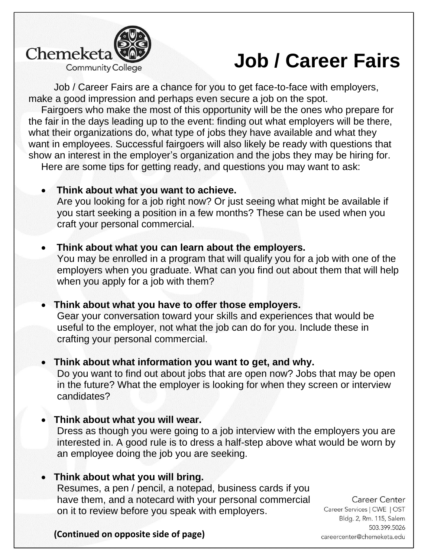

## **Job / Career Fairs**

Job / Career Fairs are a chance for you to get face-to-face with employers, make a good impression and perhaps even secure a job on the spot.

Fairgoers who make the most of this opportunity will be the ones who prepare for the fair in the days leading up to the event: finding out what employers will be there, what their organizations do, what type of jobs they have available and what they want in employees. Successful fairgoers will also likely be ready with questions that show an interest in the employer's organization and the jobs they may be hiring for. Here are some tips for getting ready, and questions you may want to ask:

• **Think about what you want to achieve.** 

Are you looking for a job right now? Or just seeing what might be available if you start seeking a position in a few months? These can be used when you craft your personal commercial.

- **Think about what you can learn about the employers.**  You may be enrolled in a program that will qualify you for a job with one of the employers when you graduate. What can you find out about them that will help when you apply for a job with them?
- **Think about what you have to offer those employers.**  Gear your conversation toward your skills and experiences that would be useful to the employer, not what the job can do for you. Include these in crafting your personal commercial.
- **Think about what information you want to get, and why.**  Do you want to find out about jobs that are open now? Jobs that may be open in the future? What the employer is looking for when they screen or interview candidates?
- **Think about what you will wear.**

Dress as though you were going to a job interview with the employers you are interested in. A good rule is to dress a half-step above what would be worn by an employee doing the job you are seeking.

• **Think about what you will bring.** 

Resumes, a pen / pencil, a notepad, business cards if you have them, and a notecard with your personal commercial on it to review before you speak with employers.

**Career Center** Career Services | CWE | OST Bldg. 2, Rm. 115, Salem 503.399.5026 careercenter@chemeketa.edu

**(Continued on opposite side of page)**